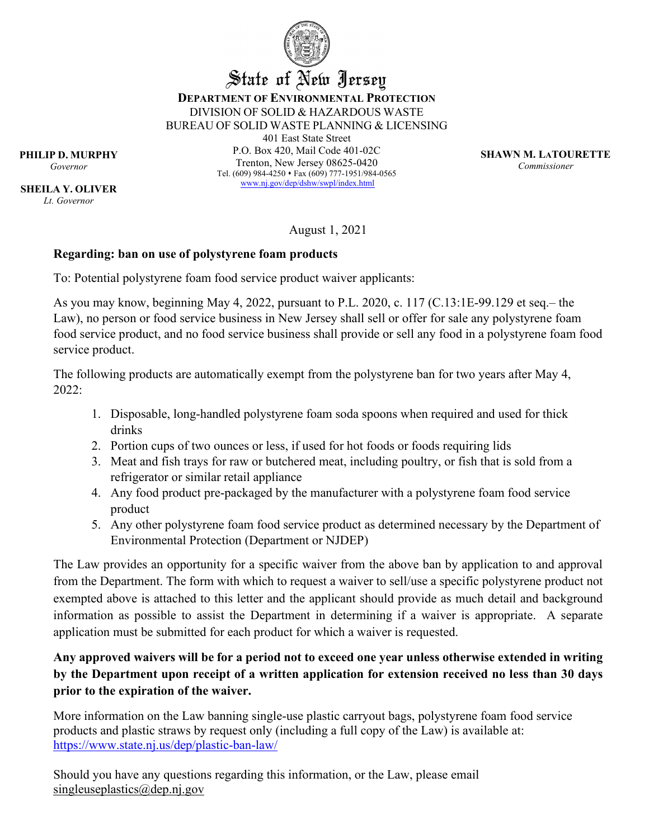

## State of New Jersey **DEPARTMENT OF ENVIRONMENTAL PROTECTION** DIVISION OF SOLID & HAZARDOUS WASTE BUREAU OF SOLID WASTE PLANNING & LICENSING

401 East State Street P.O. Box 420, Mail Code 401-02C Trenton, New Jersey 08625-0420 Tel. (609) 984-4250 • Fax (609) 777-1951/984-0565 [www.nj.gov/dep/d](http://www.nj.gov/dep)shw/swpl/index.html

**SHAWN M. LATOURETTE** *Commissioner*

**PHILIP D. MURPHY** *Governor*

**SHEILA Y. OLIVER** *Lt. Governor*

August 1, 2021

## **Regarding: ban on use of polystyrene foam products**

To: Potential polystyrene foam food service product waiver applicants:

As you may know, beginning May 4, 2022, pursuant to P.L. 2020, c. 117 (C.13:1E-99.129 et seq.– the Law), no person or food service business in New Jersey shall sell or offer for sale any polystyrene foam food service product, and no food service business shall provide or sell any food in a polystyrene foam food service product.

The following products are automatically exempt from the polystyrene ban for two years after May 4, 2022:

- 1. Disposable, long-handled polystyrene foam soda spoons when required and used for thick drinks
- 2. Portion cups of two ounces or less, if used for hot foods or foods requiring lids
- 3. Meat and fish trays for raw or butchered meat, including poultry, or fish that is sold from a refrigerator or similar retail appliance
- 4. Any food product pre-packaged by the manufacturer with a polystyrene foam food service product
- 5. Any other polystyrene foam food service product as determined necessary by the Department of Environmental Protection (Department or NJDEP)

The Law provides an opportunity for a specific waiver from the above ban by application to and approval from the Department. The form with which to request a waiver to sell/use a specific polystyrene product not exempted above is attached to this letter and the applicant should provide as much detail and background information as possible to assist the Department in determining if a waiver is appropriate. A separate application must be submitted for each product for which a waiver is requested.

# **Any approved waivers will be for a period not to exceed one year unless otherwise extended in writing by the Department upon receipt of a written application for extension received no less than 30 days prior to the expiration of the waiver.**

More information on the Law banning single-use plastic carryout bags, polystyrene foam food service products and plastic straws by request only (including a full copy of the Law) is available at: <https://www.state.nj.us/dep/plastic-ban-law/>

Should you have any questions regarding this information, or the Law, please email [singleuseplastics@dep.nj.gov](mailto:singleuseplastics@dep.nj.gov)